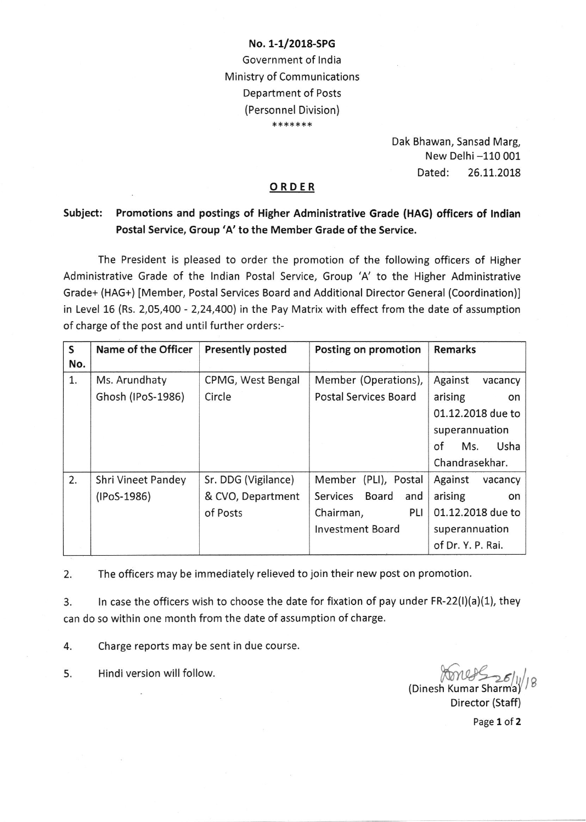## No. 1-1/2018-SPG Government of India Ministry of Communications Department of Posts (Personnel Division) \*\*\*\*\*\*\*

Dak Bhawan, Sansad Marg, New Delhi -110 001 Dated: 26.11.2018

## ORDER

## Subject: Promotions and postings of Higher Administrative Grade (HAG) officers of lndian Postal Service, Group 'A' to the Member Grade of the Service.

The President is pleased to order the promotion of the following officers of Higher Administrative Grade of the lndian Postal Service, Group 'A' to the Higher Administrative Grade+ (HAG+) [Member, Postal Services Board and Additional Director General (Coordination)] in Level 16 (Rs. 2,05,400 - 2,24,400) in the Pay Matrix with effect from the date of assumption of charge of the post and until further orders:-

| $\mathsf{S}$ | Name of the Officer | <b>Presently posted</b> | Posting on promotion         | <b>Remarks</b>     |
|--------------|---------------------|-------------------------|------------------------------|--------------------|
| No.          |                     |                         |                              |                    |
| 1.           | Ms. Arundhaty       | CPMG, West Bengal       | Member (Operations),         | Against<br>vacancy |
|              | Ghosh (IPoS-1986)   | Circle                  | <b>Postal Services Board</b> | arising<br>on      |
|              |                     |                         |                              | 01.12.2018 due to  |
|              |                     |                         |                              | superannuation     |
|              |                     |                         |                              | Usha<br>of<br>Ms.  |
|              |                     |                         |                              | Chandrasekhar.     |
| 2.           | Shri Vineet Pandey  | Sr. DDG (Vigilance)     | (PLI), Postal<br>Member      | Against<br>vacancy |
|              | (IPoS-1986)         | & CVO, Department       | Board<br>Services<br>and     | arising<br>on      |
|              |                     | of Posts                | PLI<br>Chairman,             | 01.12.2018 due to  |
|              |                     |                         | <b>Investment Board</b>      | superannuation     |
|              |                     |                         |                              | of Dr. Y. P. Rai.  |

2. The officers may be immediately relieved to join their new post on promotion.

3. ln case the officers wish to choose the date for fixation of pay under FR-22(l)(a)(1), they can do so within one month from the date of assumption of charge.

4. Charge reports may be sent in due course.

Hindi version will follow.

5. Hindi version will follow. The contract of the contract of the contract of the contract of the contract of the contract of the contract of the contract of the contract of the contract of the contract of the contract of

Director (Staff)

Page 1 of 2